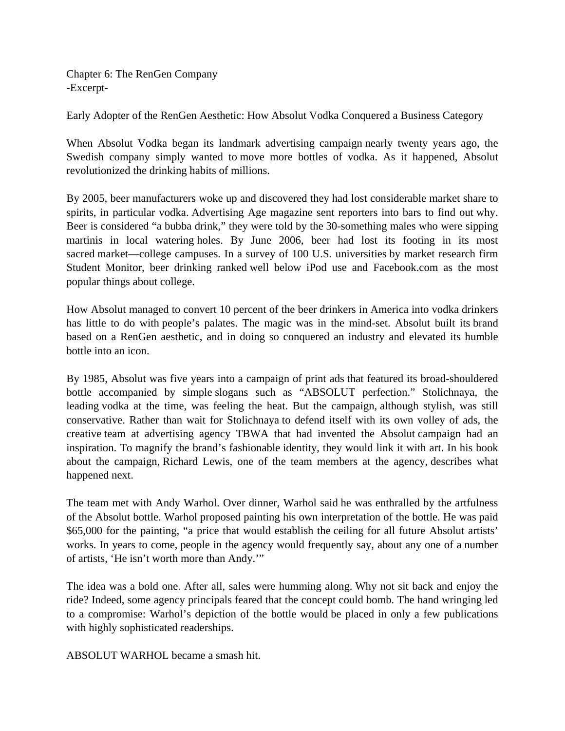Chapter 6: The RenGen Company -Excerpt-

Early Adopter of the RenGen Aesthetic: How Absolut Vodka Conquered a Business Category

When Absolut Vodka began its landmark advertising campaign nearly twenty years ago, the Swedish company simply wanted to move more bottles of vodka. As it happened, Absolut revolutionized the drinking habits of millions.

By 2005, beer manufacturers woke up and discovered they had lost considerable market share to spirits, in particular vodka. Advertising Age magazine sent reporters into bars to find out why. Beer is considered "a bubba drink," they were told by the 30-something males who were sipping martinis in local watering holes. By June 2006, beer had lost its footing in its most sacred market—college campuses. In a survey of 100 U.S. universities by market research firm Student Monitor, beer drinking ranked well below iPod use and Facebook.com as the most popular things about college.

How Absolut managed to convert 10 percent of the beer drinkers in America into vodka drinkers has little to do with people's palates. The magic was in the mind-set. Absolut built its brand based on a RenGen aesthetic, and in doing so conquered an industry and elevated its humble bottle into an icon.

By 1985, Absolut was five years into a campaign of print ads that featured its broad-shouldered bottle accompanied by simple slogans such as "ABSOLUT perfection." Stolichnaya, the leading vodka at the time, was feeling the heat. But the campaign, although stylish, was still conservative. Rather than wait for Stolichnaya to defend itself with its own volley of ads, the creative team at advertising agency TBWA that had invented the Absolut campaign had an inspiration. To magnify the brand's fashionable identity, they would link it with art. In his book about the campaign, Richard Lewis, one of the team members at the agency, describes what happened next.

The team met with Andy Warhol. Over dinner, Warhol said he was enthralled by the artfulness of the Absolut bottle. Warhol proposed painting his own interpretation of the bottle. He was paid \$65,000 for the painting, "a price that would establish the ceiling for all future Absolut artists' works. In years to come, people in the agency would frequently say, about any one of a number of artists, 'He isn't worth more than Andy.'"

The idea was a bold one. After all, sales were humming along. Why not sit back and enjoy the ride? Indeed, some agency principals feared that the concept could bomb. The hand wringing led to a compromise: Warhol's depiction of the bottle would be placed in only a few publications with highly sophisticated readerships.

ABSOLUT WARHOL became a smash hit.